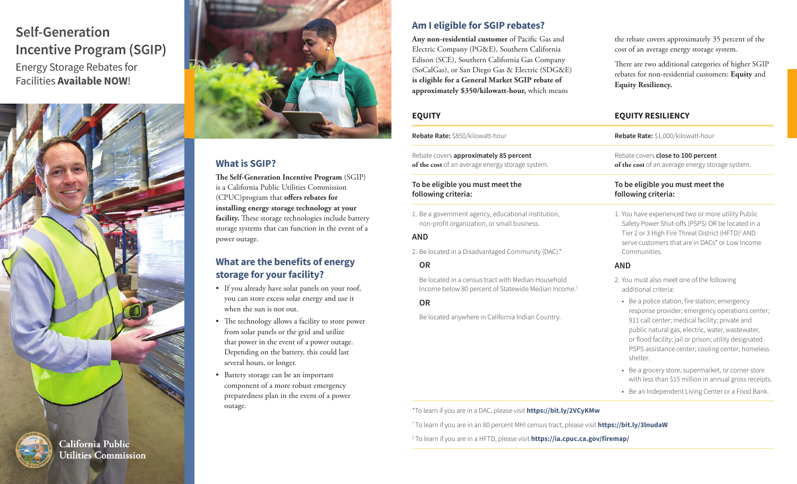# **Self-Generation Incentive Program (SGIP)** Energy Storage Rebates for Facilities **Available NOW**!





## **What is SGIP?**

**The Self-Generation Incentive Program** (SGIP) is a California Public Utilities Commission (CPUC)program that **offers rebates for installing energy storage technology at your facility.** These storage technologies include battery storage systems that can function in the event of a power outage.

## **What are the benefits of energy storage for your facility?**

- If you already have solar panels on your roof, you can store excess solar energy and use it when the sun is not out.
- The technology allows a facility to store power from solar panels or the grid and utilize that power in the event of a power outage. Depending on the battery, this could last several hours, or longer.
- Battery storage can be an important component of a more robust emergency preparedness plan in the event of a power outage.

### **Am I eligible for SGIP rebates?**

**Any non-residential customer** of Pacific Gas and Electric Company (PG&E), Southern California Edison (SCE), Southern California Gas Company (SoCalGas), or San Diego Gas & Electric (SDG&E) **is eligible for a General Market SGIP rebate of approximately \$350/kilowatt-hour,** which means

Rebate covers **approximately 85 percent of the cost** of an average energy storage system.

#### **To be eligible you must meet the following criteria:**

1. Be a government agency, educational institution, non-profit organization, or small business.

#### **AND**

2. Be located in a Disadvantaged Community (DAC).\*

#### **OR**

Be located in a census tract with Median Household Income below 80 percent of Statewide Median Income.†

#### **OR**

Be located anywhere in California Indian Country.

the rebate covers approximately 35 percent of the cost of an average energy storage system.

There are two additional categories of higher SGIP rebates for non-residential customers: **Equity** and **Equity Resiliency.**

## **EQUITY EQUITY RESILIENCY**

**Rebate Rate:** \$850/kilowatt-hour **Rebate Rate:** \$1,000/kilowatt-hour

Rebate covers **close to 100 percent of the cost** of an average energy storage system.

#### **To be eligible you must meet the following criteria:**

1. You have experienced two or more utility Public Safety Power Shut-offs (PSPS) OR be located in a Tier 2 or 3 High Fire Threat District (HFTD)‡ AND serve customers that are in DACs\* or Low Income **Communities** 

#### **AND**

- 2. You must also meet one of the following additional criteria:
- Be a police station; fire station; emergency response provider; emergency operations center; 911 call center; medical facility; private and public natural gas, electric, water, wastewater, or flood facility; jail or prison; utility designated PSPS assistance center; cooling center; homeless shelter.
- Be a grocery store, supermarket, or corner store with less than \$15 million in annual gross receipts.
- Be an Independent Living Center or a Food Bank.

\*To learn if you are in a DAC, please visit **<https://bit.ly/2VCyKMw>**

† To learn if you are in an 80 percent MHI census tract, please visit **<https://bit.ly/3lnudaW>**

‡ To learn if you are in a HFTD, please visit **<https://ia.cpuc.ca.gov/firemap/>**



California Public **Utilities Commission**